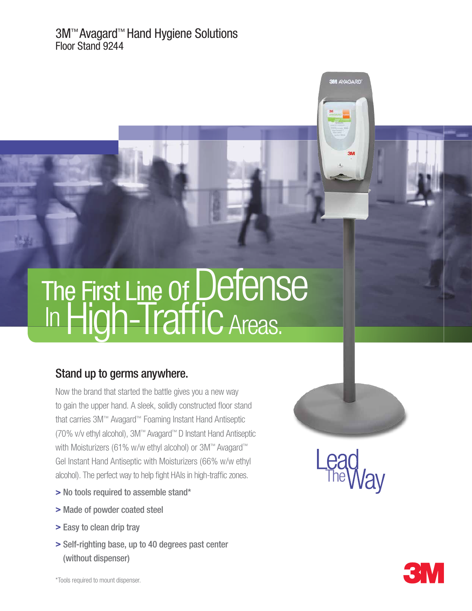3M™ Avagard™ Hand Hygiene Solutions Floor Stand 9244

## The First Line of Defense In High-Traffic Areas.

## Stand up to germs anywhere.

Now the brand that started the battle gives you a new way to gain the upper hand. A sleek, solidly constructed floor stand that carries 3M™ Avagard™ Foaming Instant Hand Antiseptic (70% v/v ethyl alcohol), 3M™ Avagard™ D Instant Hand Antiseptic with Moisturizers (61% w/w ethyl alcohol) or 3M™ Avagard™ Gel Instant Hand Antiseptic with Moisturizers (66% w/w ethyl alcohol). The perfect way to help fight HAIs in high-traffic zones.

- **>** No tools required to assemble stand\*
- **>** Made of powder coated steel
- **>** Easy to clean drip tray
- **>** Self-righting base, up to 40 degrees past center (without dispenser)



**3M AVAGARD**